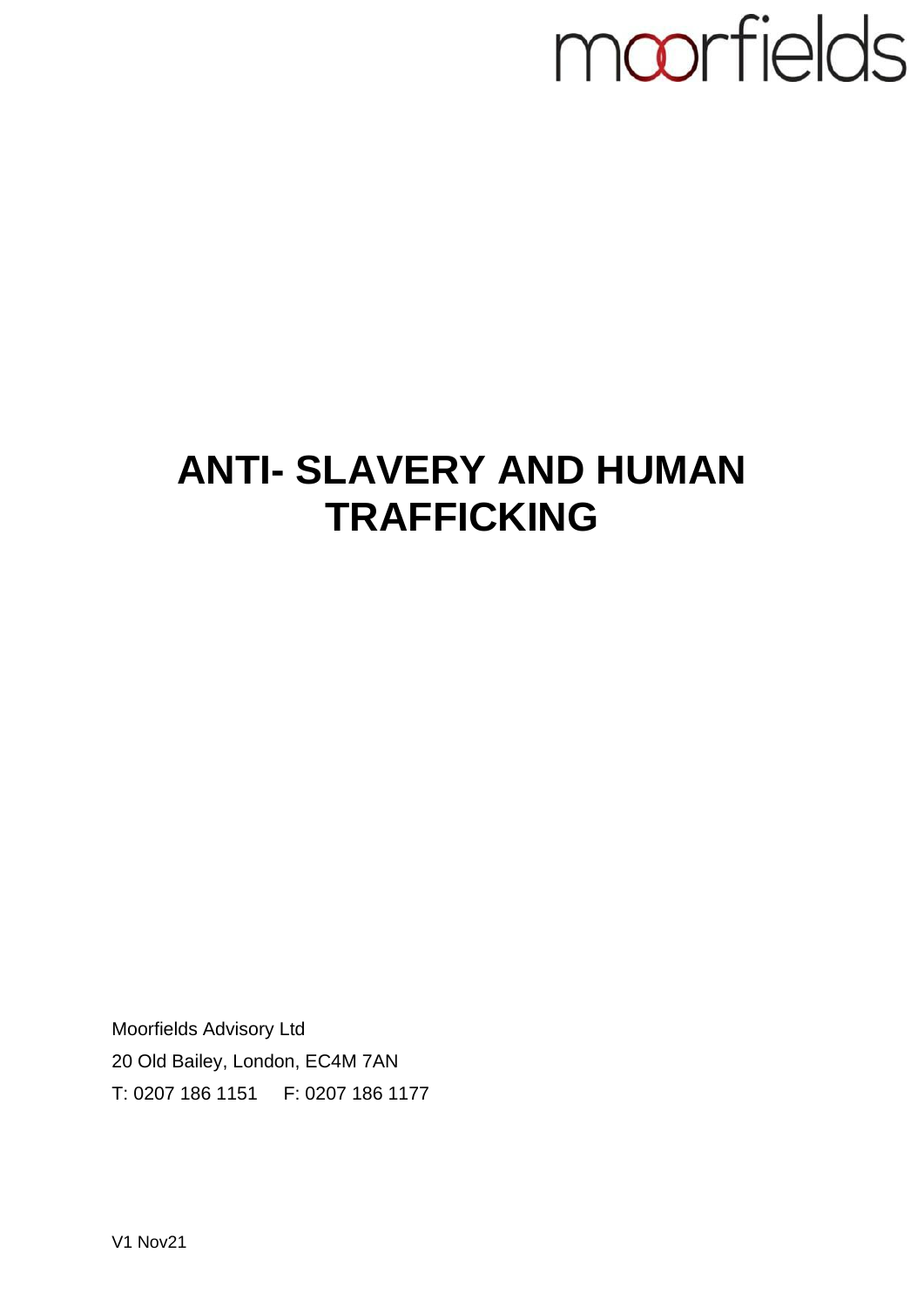## moorfields

## **ANTI- SLAVERY AND HUMAN TRAFFICKING**

Moorfields Advisory Ltd 20 Old Bailey, London, EC4M 7AN T: 0207 186 1151 F: 0207 186 1177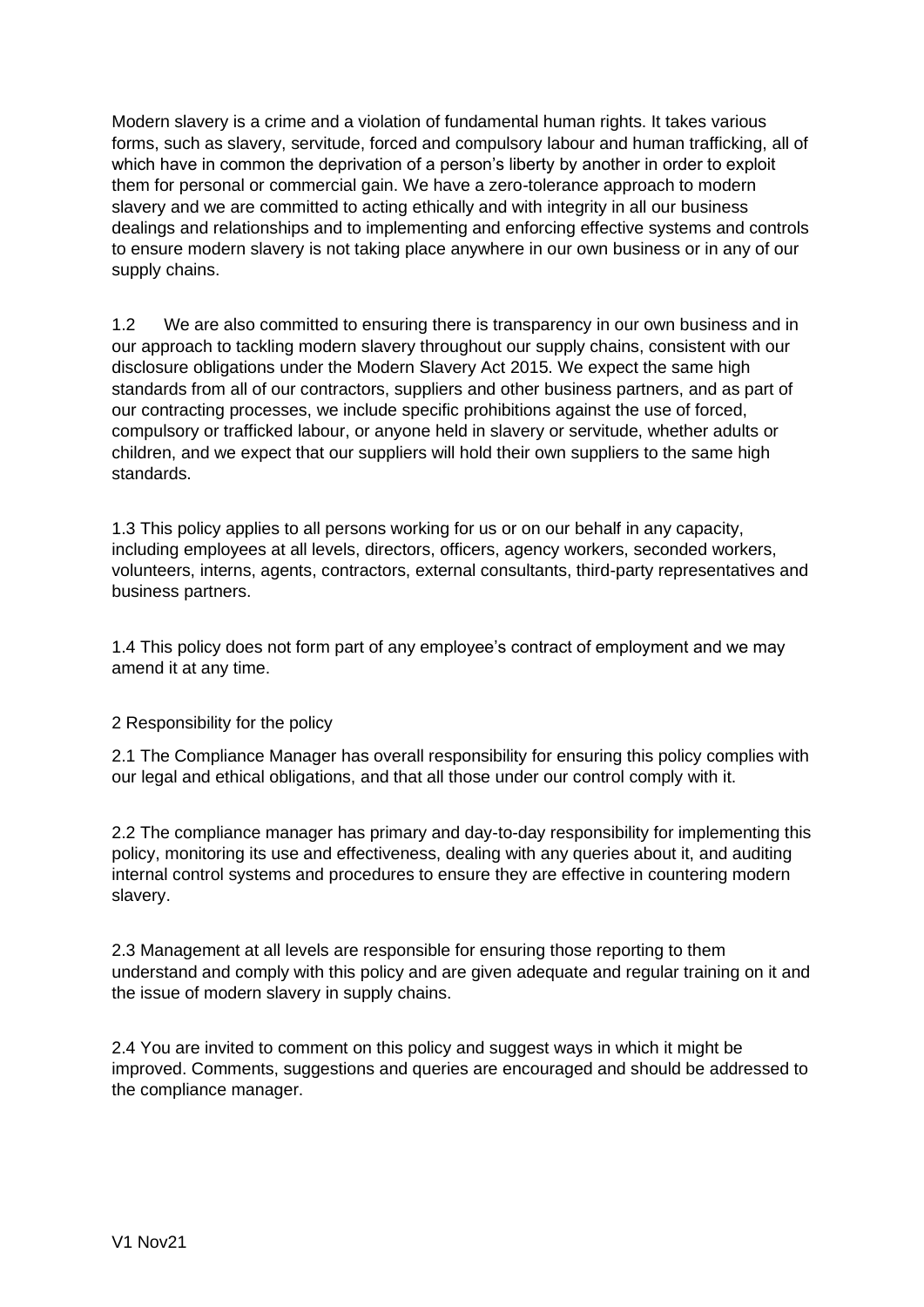Modern slavery is a crime and a violation of fundamental human rights. It takes various forms, such as slavery, servitude, forced and compulsory labour and human trafficking, all of which have in common the deprivation of a person's liberty by another in order to exploit them for personal or commercial gain. We have a zero-tolerance approach to modern slavery and we are committed to acting ethically and with integrity in all our business dealings and relationships and to implementing and enforcing effective systems and controls to ensure modern slavery is not taking place anywhere in our own business or in any of our supply chains.

1.2 We are also committed to ensuring there is transparency in our own business and in our approach to tackling modern slavery throughout our supply chains, consistent with our disclosure obligations under the Modern Slavery Act 2015. We expect the same high standards from all of our contractors, suppliers and other business partners, and as part of our contracting processes, we include specific prohibitions against the use of forced, compulsory or trafficked labour, or anyone held in slavery or servitude, whether adults or children, and we expect that our suppliers will hold their own suppliers to the same high standards.

1.3 This policy applies to all persons working for us or on our behalf in any capacity, including employees at all levels, directors, officers, agency workers, seconded workers, volunteers, interns, agents, contractors, external consultants, third-party representatives and business partners.

1.4 This policy does not form part of any employee's contract of employment and we may amend it at any time.

## 2 Responsibility for the policy

2.1 The Compliance Manager has overall responsibility for ensuring this policy complies with our legal and ethical obligations, and that all those under our control comply with it.

2.2 The compliance manager has primary and day-to-day responsibility for implementing this policy, monitoring its use and effectiveness, dealing with any queries about it, and auditing internal control systems and procedures to ensure they are effective in countering modern slavery.

2.3 Management at all levels are responsible for ensuring those reporting to them understand and comply with this policy and are given adequate and regular training on it and the issue of modern slavery in supply chains.

2.4 You are invited to comment on this policy and suggest ways in which it might be improved. Comments, suggestions and queries are encouraged and should be addressed to the compliance manager.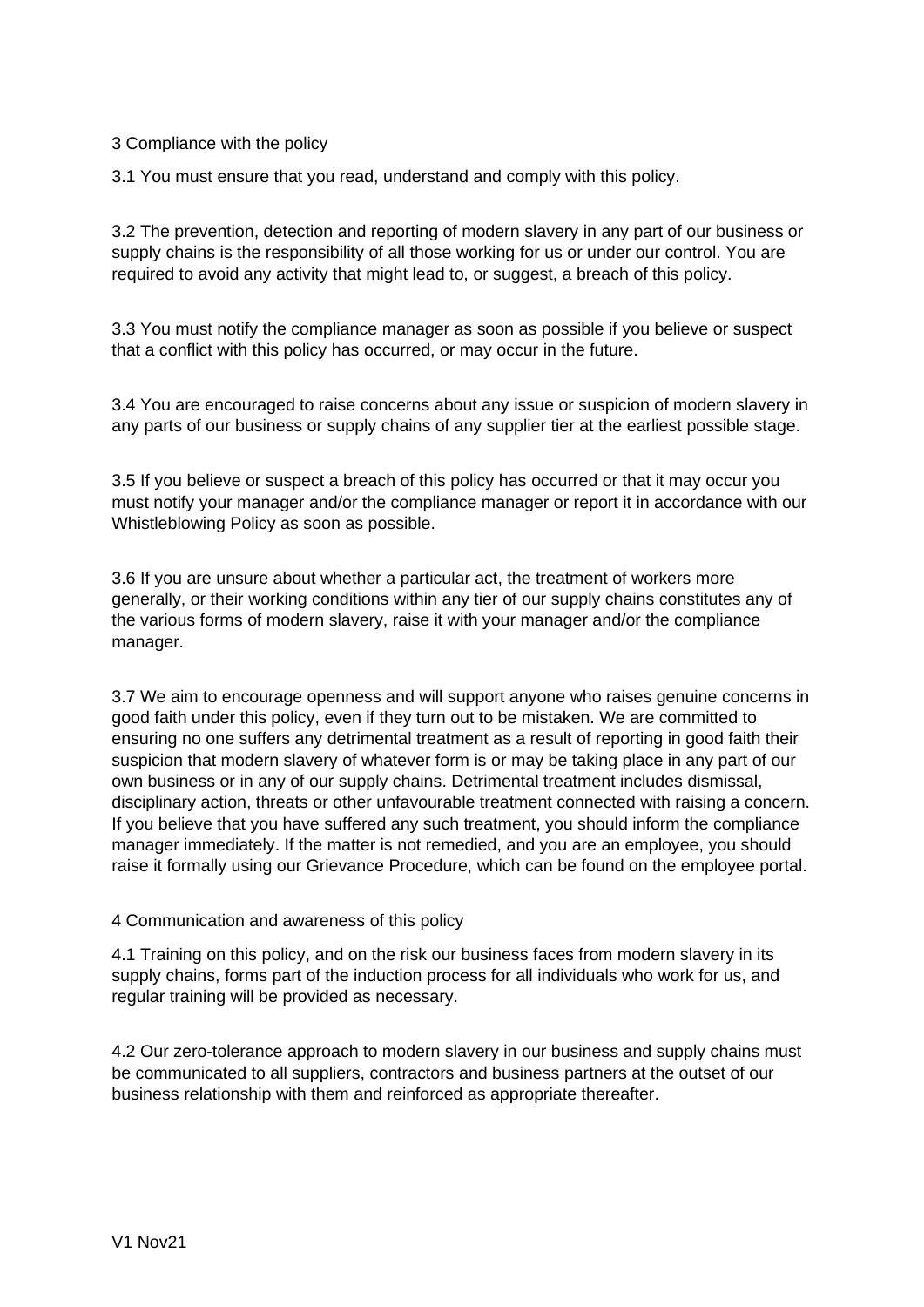3 Compliance with the policy

3.1 You must ensure that you read, understand and comply with this policy.

3.2 The prevention, detection and reporting of modern slavery in any part of our business or supply chains is the responsibility of all those working for us or under our control. You are required to avoid any activity that might lead to, or suggest, a breach of this policy.

3.3 You must notify the compliance manager as soon as possible if you believe or suspect that a conflict with this policy has occurred, or may occur in the future.

3.4 You are encouraged to raise concerns about any issue or suspicion of modern slavery in any parts of our business or supply chains of any supplier tier at the earliest possible stage.

3.5 If you believe or suspect a breach of this policy has occurred or that it may occur you must notify your manager and/or the compliance manager or report it in accordance with our Whistleblowing Policy as soon as possible.

3.6 If you are unsure about whether a particular act, the treatment of workers more generally, or their working conditions within any tier of our supply chains constitutes any of the various forms of modern slavery, raise it with your manager and/or the compliance manager.

3.7 We aim to encourage openness and will support anyone who raises genuine concerns in good faith under this policy, even if they turn out to be mistaken. We are committed to ensuring no one suffers any detrimental treatment as a result of reporting in good faith their suspicion that modern slavery of whatever form is or may be taking place in any part of our own business or in any of our supply chains. Detrimental treatment includes dismissal, disciplinary action, threats or other unfavourable treatment connected with raising a concern. If you believe that you have suffered any such treatment, you should inform the compliance manager immediately. If the matter is not remedied, and you are an employee, you should raise it formally using our Grievance Procedure, which can be found on the employee portal.

4 Communication and awareness of this policy

4.1 Training on this policy, and on the risk our business faces from modern slavery in its supply chains, forms part of the induction process for all individuals who work for us, and regular training will be provided as necessary.

4.2 Our zero-tolerance approach to modern slavery in our business and supply chains must be communicated to all suppliers, contractors and business partners at the outset of our business relationship with them and reinforced as appropriate thereafter.